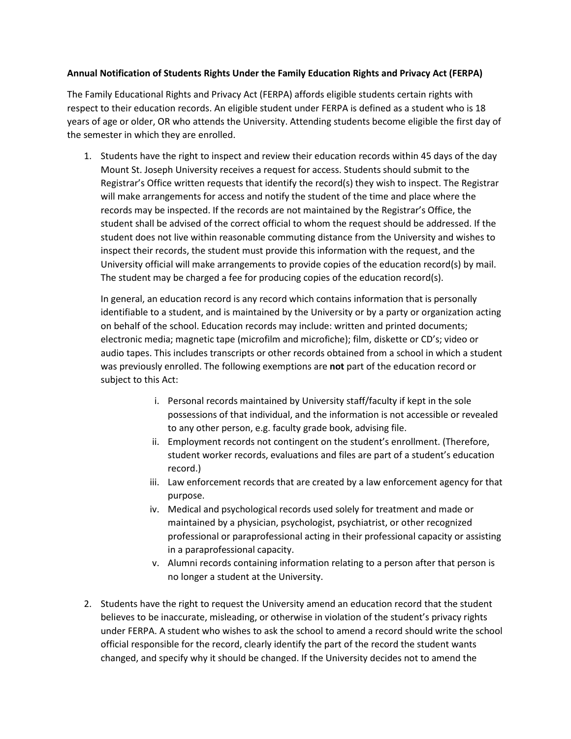## **Annual Notification of Students Rights Under the Family Education Rights and Privacy Act (FERPA)**

The Family Educational Rights and Privacy Act (FERPA) affords eligible students certain rights with respect to their education records. An eligible student under FERPA is defined as a student who is 18 years of age or older, OR who attends the University. Attending students become eligible the first day of the semester in which they are enrolled.

1. Students have the right to inspect and review their education records within 45 days of the day Mount St. Joseph University receives a request for access. Students should submit to the Registrar's Office written requests that identify the record(s) they wish to inspect. The Registrar will make arrangements for access and notify the student of the time and place where the records may be inspected. If the records are not maintained by the Registrar's Office, the student shall be advised of the correct official to whom the request should be addressed. If the student does not live within reasonable commuting distance from the University and wishes to inspect their records, the student must provide this information with the request, and the University official will make arrangements to provide copies of the education record(s) by mail. The student may be charged a fee for producing copies of the education record(s).

In general, an education record is any record which contains information that is personally identifiable to a student, and is maintained by the University or by a party or organization acting on behalf of the school. Education records may include: written and printed documents; electronic media; magnetic tape (microfilm and microfiche); film, diskette or CD's; video or audio tapes. This includes transcripts or other records obtained from a school in which a student was previously enrolled. The following exemptions are **not** part of the education record or subject to this Act:

- i. Personal records maintained by University staff/faculty if kept in the sole possessions of that individual, and the information is not accessible or revealed to any other person, e.g. faculty grade book, advising file.
- ii. Employment records not contingent on the student's enrollment. (Therefore, student worker records, evaluations and files are part of a student's education record.)
- iii. Law enforcement records that are created by a law enforcement agency for that purpose.
- iv. Medical and psychological records used solely for treatment and made or maintained by a physician, psychologist, psychiatrist, or other recognized professional or paraprofessional acting in their professional capacity or assisting in a paraprofessional capacity.
- v. Alumni records containing information relating to a person after that person is no longer a student at the University.
- 2. Students have the right to request the University amend an education record that the student believes to be inaccurate, misleading, or otherwise in violation of the student's privacy rights under FERPA. A student who wishes to ask the school to amend a record should write the school official responsible for the record, clearly identify the part of the record the student wants changed, and specify why it should be changed. If the University decides not to amend the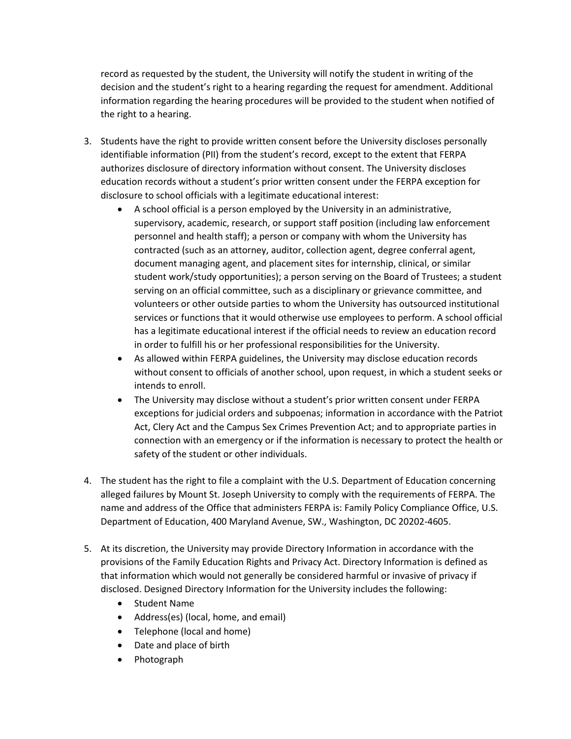record as requested by the student, the University will notify the student in writing of the decision and the student's right to a hearing regarding the request for amendment. Additional information regarding the hearing procedures will be provided to the student when notified of the right to a hearing.

- 3. Students have the right to provide written consent before the University discloses personally identifiable information (PII) from the student's record, except to the extent that FERPA authorizes disclosure of directory information without consent. The University discloses education records without a student's prior written consent under the FERPA exception for disclosure to school officials with a legitimate educational interest:
	- A school official is a person employed by the University in an administrative, supervisory, academic, research, or support staff position (including law enforcement personnel and health staff); a person or company with whom the University has contracted (such as an attorney, auditor, collection agent, degree conferral agent, document managing agent, and placement sites for internship, clinical, or similar student work/study opportunities); a person serving on the Board of Trustees; a student serving on an official committee, such as a disciplinary or grievance committee, and volunteers or other outside parties to whom the University has outsourced institutional services or functions that it would otherwise use employees to perform. A school official has a legitimate educational interest if the official needs to review an education record in order to fulfill his or her professional responsibilities for the University.
	- As allowed within FERPA guidelines, the University may disclose education records without consent to officials of another school, upon request, in which a student seeks or intends to enroll.
	- The University may disclose without a student's prior written consent under FERPA exceptions for judicial orders and subpoenas; information in accordance with the Patriot Act, Clery Act and the Campus Sex Crimes Prevention Act; and to appropriate parties in connection with an emergency or if the information is necessary to protect the health or safety of the student or other individuals.
- 4. The student has the right to file a complaint with the U.S. Department of Education concerning alleged failures by Mount St. Joseph University to comply with the requirements of FERPA. The name and address of the Office that administers FERPA is: Family Policy Compliance Office, U.S. Department of Education, 400 Maryland Avenue, SW., Washington, DC 20202-4605.
- 5. At its discretion, the University may provide Directory Information in accordance with the provisions of the Family Education Rights and Privacy Act. Directory Information is defined as that information which would not generally be considered harmful or invasive of privacy if disclosed. Designed Directory Information for the University includes the following:
	- Student Name
	- Address(es) (local, home, and email)
	- Telephone (local and home)
	- Date and place of birth
	- Photograph